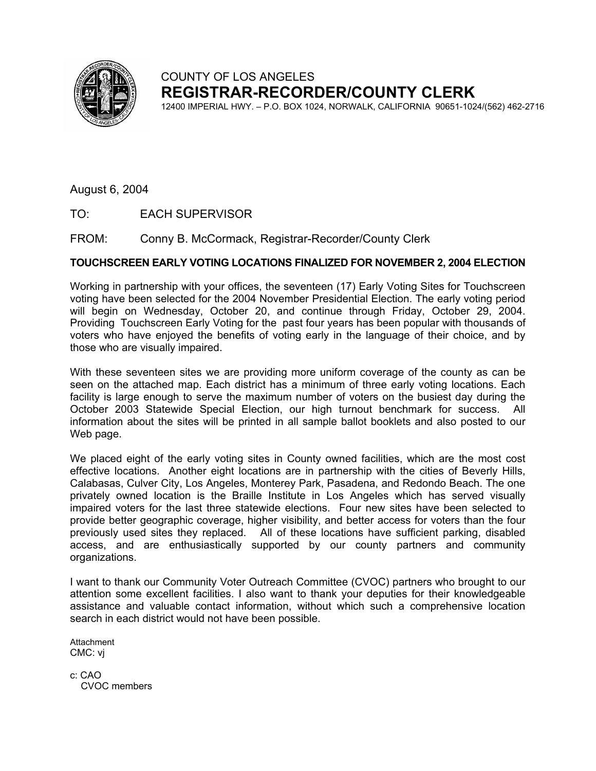

# COUNTY OF LOS ANGELES **REGISTRAR-RECORDER/COUNTY CLERK**

12400 IMPERIAL HWY. – P.O. BOX 1024, NORWALK, CALIFORNIA 90651-1024/(562) 462-2716

August 6, 2004

TO: EACH SUPERVISOR

FROM: Conny B. McCormack, Registrar-Recorder/County Clerk

# **TOUCHSCREEN EARLY VOTING LOCATIONS FINALIZED FOR NOVEMBER 2, 2004 ELECTION**

Working in partnership with your offices, the seventeen (17) Early Voting Sites for Touchscreen voting have been selected for the 2004 November Presidential Election. The early voting period will begin on Wednesday, October 20, and continue through Friday, October 29, 2004. Providing Touchscreen Early Voting for the past four years has been popular with thousands of voters who have enjoyed the benefits of voting early in the language of their choice, and by those who are visually impaired.

With these seventeen sites we are providing more uniform coverage of the county as can be seen on the attached map. Each district has a minimum of three early voting locations. Each facility is large enough to serve the maximum number of voters on the busiest day during the October 2003 Statewide Special Election, our high turnout benchmark for success. All information about the sites will be printed in all sample ballot booklets and also posted to our Web page.

We placed eight of the early voting sites in County owned facilities, which are the most cost effective locations. Another eight locations are in partnership with the cities of Beverly Hills, Calabasas, Culver City, Los Angeles, Monterey Park, Pasadena, and Redondo Beach. The one privately owned location is the Braille Institute in Los Angeles which has served visually impaired voters for the last three statewide elections. Four new sites have been selected to provide better geographic coverage, higher visibility, and better access for voters than the four previously used sites they replaced. All of these locations have sufficient parking, disabled access, and are enthusiastically supported by our county partners and community organizations.

I want to thank our Community Voter Outreach Committee (CVOC) partners who brought to our attention some excellent facilities. I also want to thank your deputies for their knowledgeable assistance and valuable contact information, without which such a comprehensive location search in each district would not have been possible.

Attachment CMC: vj

c: CAO CVOC members